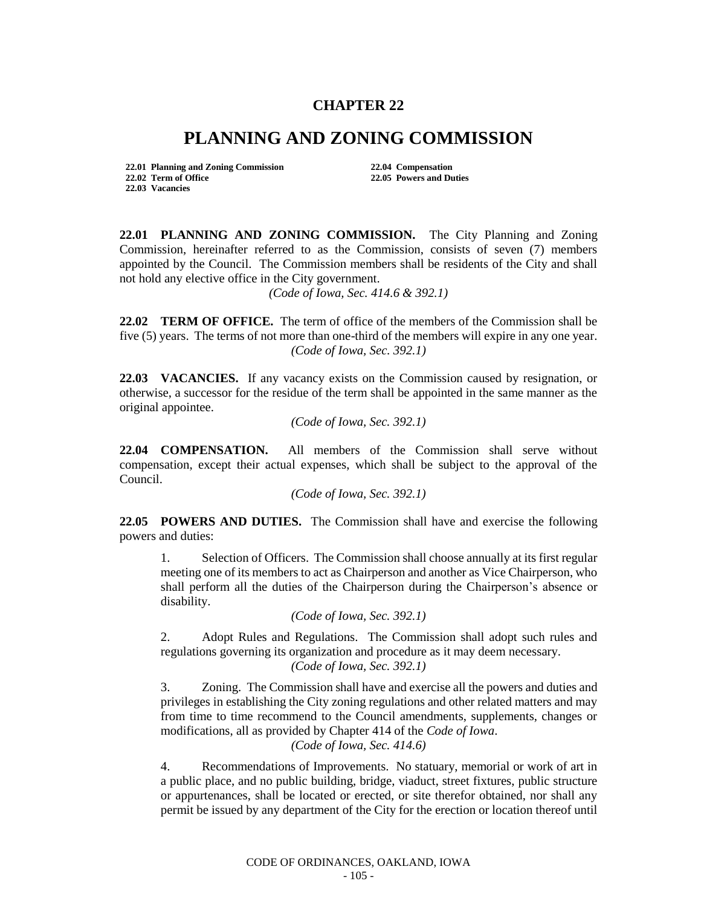## **CHAPTER 22**

## **PLANNING AND ZONING COMMISSION**

**22.01 Planning and Zoning Commission 22.04 Compensation 22.02 Term of Office 22.05 Powers and Duties 22.03 Vacancies**

**22.01 PLANNING AND ZONING COMMISSION.** The City Planning and Zoning Commission, hereinafter referred to as the Commission, consists of seven (7) members appointed by the Council. The Commission members shall be residents of the City and shall not hold any elective office in the City government.

*(Code of Iowa, Sec. 414.6 & 392.1)*

**22.02 TERM OF OFFICE.** The term of office of the members of the Commission shall be five (5) years. The terms of not more than one-third of the members will expire in any one year. *(Code of Iowa, Sec. 392.1)*

**22.03 VACANCIES.** If any vacancy exists on the Commission caused by resignation, or otherwise, a successor for the residue of the term shall be appointed in the same manner as the original appointee.

*(Code of Iowa, Sec. 392.1)*

**22.04 COMPENSATION.** All members of the Commission shall serve without compensation, except their actual expenses, which shall be subject to the approval of the Council.

*(Code of Iowa, Sec. 392.1)*

**22.05 POWERS AND DUTIES.** The Commission shall have and exercise the following powers and duties:

1. Selection of Officers. The Commission shall choose annually at its first regular meeting one of its members to act as Chairperson and another as Vice Chairperson, who shall perform all the duties of the Chairperson during the Chairperson's absence or disability.

*(Code of Iowa, Sec. 392.1)*

2. Adopt Rules and Regulations. The Commission shall adopt such rules and regulations governing its organization and procedure as it may deem necessary. *(Code of Iowa, Sec. 392.1)*

3. Zoning. The Commission shall have and exercise all the powers and duties and privileges in establishing the City zoning regulations and other related matters and may from time to time recommend to the Council amendments, supplements, changes or modifications, all as provided by Chapter 414 of the *Code of Iowa*.

*(Code of Iowa, Sec. 414.6)*

4. Recommendations of Improvements. No statuary, memorial or work of art in a public place, and no public building, bridge, viaduct, street fixtures, public structure or appurtenances, shall be located or erected, or site therefor obtained, nor shall any permit be issued by any department of the City for the erection or location thereof until